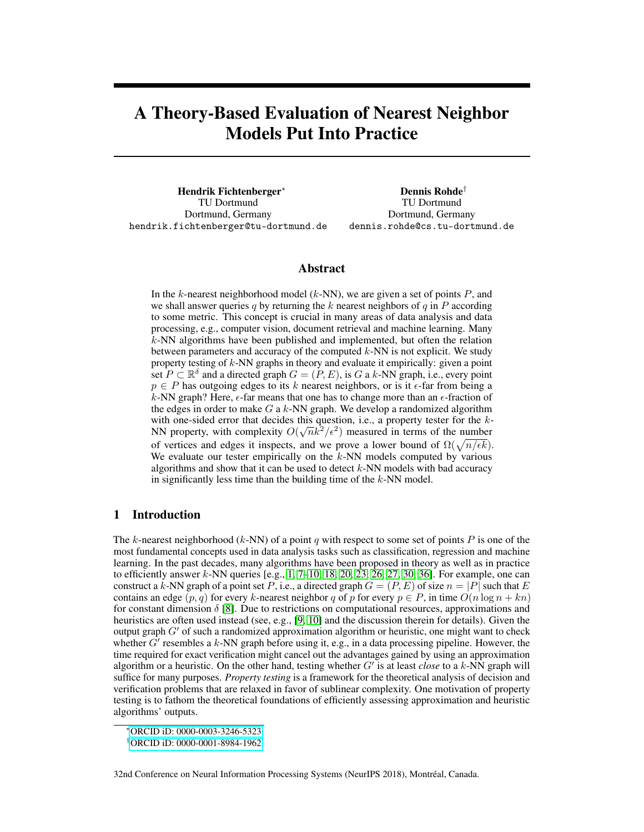# A Theory-Based Evaluation of Nearest Neighbor Models Put Into Practice

Hendrik Fichtenberger<sup>∗</sup> TU Dortmund Dortmund, Germany hendrik.fichtenberger@tu-dortmund.de

Dennis Rohde† TU Dortmund Dortmund, Germany dennis.rohde@cs.tu-dortmund.de

#### Abstract

In the  $k$ -nearest neighborhood model  $(k-NN)$ , we are given a set of points  $P$ , and we shall answer queries q by returning the k nearest neighbors of  $q$  in  $P$  according to some metric. This concept is crucial in many areas of data analysis and data processing, e.g., computer vision, document retrieval and machine learning. Many k-NN algorithms have been published and implemented, but often the relation between parameters and accuracy of the computed  $k$ -NN is not explicit. We study property testing of k-NN graphs in theory and evaluate it empirically: given a point set  $P \subset \mathbb{R}^{\delta}$  and a directed graph  $G = (P, E)$ , is G a k-NN graph, i.e., every point  $p \in P$  has outgoing edges to its k nearest neighbors, or is it  $\epsilon$ -far from being a k-NN graph? Here,  $\epsilon$ -far means that one has to change more than an  $\epsilon$ -fraction of the edges in order to make  $G$  a  $k$ -NN graph. We develop a randomized algorithm with one-sided error that decides this question, i.e., a property tester for the  $k$ -NN property, with complexity  $O(\sqrt{n}k^2/\epsilon^2)$  measured in terms of the number of vertices and edges it inspects, and we prove a lower bound of  $\Omega(\sqrt{n/\epsilon k})$ . We evaluate our tester empirically on the  $k$ -NN models computed by various algorithms and show that it can be used to detect  $k$ -NN models with bad accuracy in significantly less time than the building time of the  $k$ -NN model.

## 1 Introduction

The k-nearest neighborhood (k-NN) of a point q with respect to some set of points P is one of the most fundamental concepts used in data analysis tasks such as classification, regression and machine learning. In the past decades, many algorithms have been proposed in theory as well as in practice to efficiently answer k-NN queries  $[e.g., 1, 7–10, 18, 20, 23, 26, 27, 30, 36]$  $[e.g., 1, 7–10, 18, 20, 23, 26, 27, 30, 36]$  $[e.g., 1, 7–10, 18, 20, 23, 26, 27, 30, 36]$  $[e.g., 1, 7–10, 18, 20, 23, 26, 27, 30, 36]$  $[e.g., 1, 7–10, 18, 20, 23, 26, 27, 30, 36]$  $[e.g., 1, 7–10, 18, 20, 23, 26, 27, 30, 36]$  $[e.g., 1, 7–10, 18, 20, 23, 26, 27, 30, 36]$  $[e.g., 1, 7–10, 18, 20, 23, 26, 27, 30, 36]$  $[e.g., 1, 7–10, 18, 20, 23, 26, 27, 30, 36]$  $[e.g., 1, 7–10, 18, 20, 23, 26, 27, 30, 36]$  $[e.g., 1, 7–10, 18, 20, 23, 26, 27, 30, 36]$  $[e.g., 1, 7–10, 18, 20, 23, 26, 27, 30, 36]$  $[e.g., 1, 7–10, 18, 20, 23, 26, 27, 30, 36]$  $[e.g., 1, 7–10, 18, 20, 23, 26, 27, 30, 36]$  $[e.g., 1, 7–10, 18, 20, 23, 26, 27, 30, 36]$  $[e.g., 1, 7–10, 18, 20, 23, 26, 27, 30, 36]$  $[e.g., 1, 7–10, 18, 20, 23, 26, 27, 30, 36]$  $[e.g., 1, 7–10, 18, 20, 23, 26, 27, 30, 36]$  $[e.g., 1, 7–10, 18, 20, 23, 26, 27, 30, 36]$ . For example, one can construct a k-NN graph of a point set P, i.e., a directed graph  $G = (P, E)$  of size  $n = |P|$  such that E contains an edge  $(p, q)$  for every k-nearest neighbor q of p for every  $p \in P$ , in time  $O(n \log n + kn)$ for constant dimension  $\delta$  [\[8\]](#page-9-3). Due to restrictions on computational resources, approximations and heuristics are often used instead (see, e.g., [\[9,](#page-9-4) [10\]](#page-9-2) and the discussion therein for details). Given the output graph  $G'$  of such a randomized approximation algorithm or heuristic, one might want to check whether  $\tilde{G}^{\prime}$  resembles a k-NN graph before using it, e.g., in a data processing pipeline. However, the time required for exact verification might cancel out the advantages gained by using an approximation algorithm or a heuristic. On the other hand, testing whether  $G'$  is at least *close* to a  $k$ -NN graph will suffice for many purposes. *Property testing* is a framework for the theoretical analysis of decision and verification problems that are relaxed in favor of sublinear complexity. One motivation of property testing is to fathom the theoretical foundations of efficiently assessing approximation and heuristic algorithms' outputs.

<sup>∗</sup>[ORCID iD: 0000-0003-3246-5323](https://orcid.org/0000-0003-3246-5323)

<sup>†</sup>[ORCID iD: 0000-0001-8984-1962](https://orcid.org/0000-0001-8984-1962)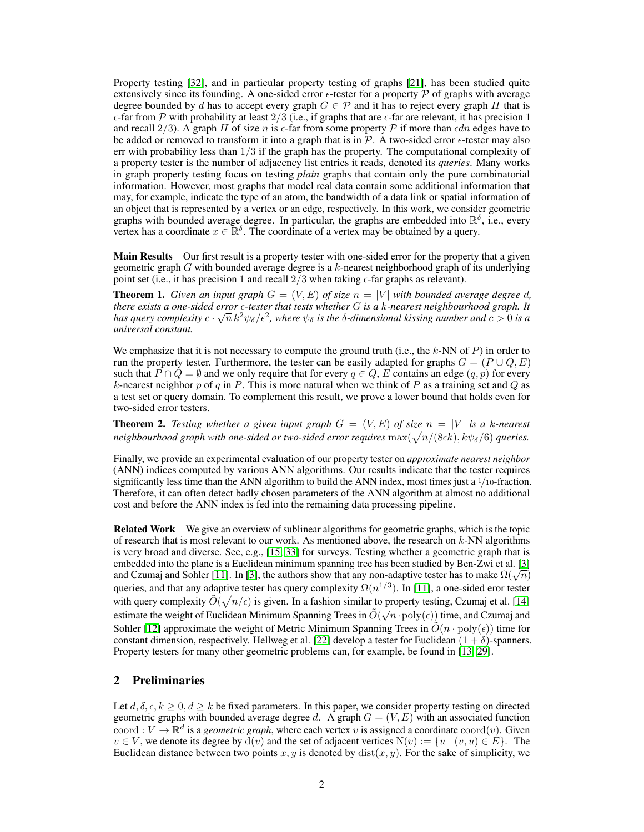Property testing [\[32\]](#page-11-1), and in particular property testing of graphs [\[21\]](#page-10-6), has been studied quite extensively since its founding. A one-sided error  $\epsilon$ -tester for a property P of graphs with average degree bounded by d has to accept every graph  $G \in \mathcal{P}$  and it has to reject every graph H that is  $\epsilon$ -far from P with probability at least 2/3 (i.e., if graphs that are  $\epsilon$ -far are relevant, it has precision 1 and recall  $2/3$ ). A graph H of size n is  $\epsilon$ -far from some property P if more than  $\epsilon dn$  edges have to be added or removed to transform it into a graph that is in  $\mathcal{P}$ . A two-sided error  $\epsilon$ -tester may also err with probability less than  $1/3$  if the graph has the property. The computational complexity of a property tester is the number of adjacency list entries it reads, denoted its *queries*. Many works in graph property testing focus on testing *plain* graphs that contain only the pure combinatorial information. However, most graphs that model real data contain some additional information that may, for example, indicate the type of an atom, the bandwidth of a data link or spatial information of an object that is represented by a vertex or an edge, respectively. In this work, we consider geometric graphs with bounded average degree. In particular, the graphs are embedded into  $\mathbb{R}^{\delta}$ , i.e., every vertex has a coordinate  $x \in \mathbb{R}^{\delta}$ . The coordinate of a vertex may be obtained by a query.

**Main Results** Our first result is a property tester with one-sided error for the property that a given geometric graph  $G$  with bounded average degree is a  $k$ -nearest neighborhood graph of its underlying point set (i.e., it has precision 1 and recall  $2/3$  when taking  $\epsilon$ -far graphs as relevant).

<span id="page-1-0"></span>**Theorem 1.** Given an input graph  $G = (V, E)$  of size  $n = |V|$  with bounded average degree d, *there exists a one-sided error -tester that tests whether* G *is a* k*-nearest neighbourhood graph. It* √ has query complexity  $c\cdot\sqrt{n}\,k^2\psi_\delta/\epsilon^2$ , where  $\psi_\delta$  is the  $\delta$ -dimensional kissing number and  $c>0$  is a *universal constant.*

We emphasize that it is not necessary to compute the ground truth (i.e., the  $k$ -NN of P) in order to run the property tester. Furthermore, the tester can be easily adapted for graphs  $G = (P \cup Q, E)$ such that  $P \cap Q = \emptyset$  and we only require that for every  $q \in Q$ , E contains an edge  $(q, p)$  for every k-nearest neighbor p of q in P. This is more natural when we think of P as a training set and Q as a test set or query domain. To complement this result, we prove a lower bound that holds even for two-sided error testers.

**Theorem 2.** Testing whether a given input graph  $G = (V, E)$  of size  $n = |V|$  is a k-nearest neighbourhood graph with one-sided or two-sided error requires  $\max(\sqrt{n/(8\epsilon k)}, k\psi_\delta/6)$  queries.

Finally, we provide an experimental evaluation of our property tester on *approximate nearest neighbor* (ANN) indices computed by various ANN algorithms. Our results indicate that the tester requires significantly less time than the ANN algorithm to build the ANN index, most times just a  $\frac{1}{10}$ -fraction. Therefore, it can often detect badly chosen parameters of the ANN algorithm at almost no additional cost and before the ANN index is fed into the remaining data processing pipeline.

Related Work We give an overview of sublinear algorithms for geometric graphs, which is the topic of research that is most relevant to our work. As mentioned above, the research on  $k$ -NN algorithms is very broad and diverse. See, e.g., [\[15,](#page-10-7) [33\]](#page-11-2) for surveys. Testing whether a geometric graph that is embedded into the plane is a Euclidean minimum spanning tree has been studied by Ben-Zwi et al. [\[3\]](#page-9-5) embedded into the plane is a Euchdean minimum spanning tree has been studied by Ben-Zwi et al. [3] and Czumaj and Sohler [\[11\]](#page-9-6). In [\[3\]](#page-9-5), the authors show that any non-adaptive tester has to make  $\Omega(\sqrt{n})$ queries, and that any adaptive tester has query complexity  $\Omega(n^{1/3})$ . In [\[11\]](#page-9-6), a one-sided eror tester with query complexity  $\tilde{O}(\sqrt{n/\epsilon})$  is given. In a fashion similar to property testing, Czumaj et al. [\[14\]](#page-9-7) while due to complexity  $O(\sqrt{n}/\epsilon)$  is given. In a rasmon similar to property testing, examing et al. [1-1] estimate the weight of Euclidean Minimum Spanning Trees in  $\tilde{O}(\sqrt{n} \cdot \text{poly}(\epsilon))$  time, and Czumaj and Sohler [\[12\]](#page-9-8) approximate the weight of Metric Minimum Spanning Trees in  $\tilde{O}(n \cdot \text{poly}(\epsilon))$  time for constant dimension, respectively. Hellweg et al. [\[22\]](#page-10-8) develop a tester for Euclidean  $(1 + \delta)$ -spanners. Property testers for many other geometric problems can, for example, be found in [\[13,](#page-9-9) [29\]](#page-10-9).

#### <span id="page-1-1"></span>2 Preliminaries

Let  $d, \delta, \epsilon, k \geq 0, d \geq k$  be fixed parameters. In this paper, we consider property testing on directed geometric graphs with bounded average degree d. A graph  $G = (V, E)$  with an associated function coord :  $V \to \mathbb{R}^d$  is a *geometric graph*, where each vertex v is assigned a coordinate coord(v). Given  $v \in V$ , we denote its degree by  $\check{d}(v)$  and the set of adjacent vertices  $N(v) := \{u \mid (v, u) \in E\}$ . The Euclidean distance between two points x, y is denoted by  $dist(x, y)$ . For the sake of simplicity, we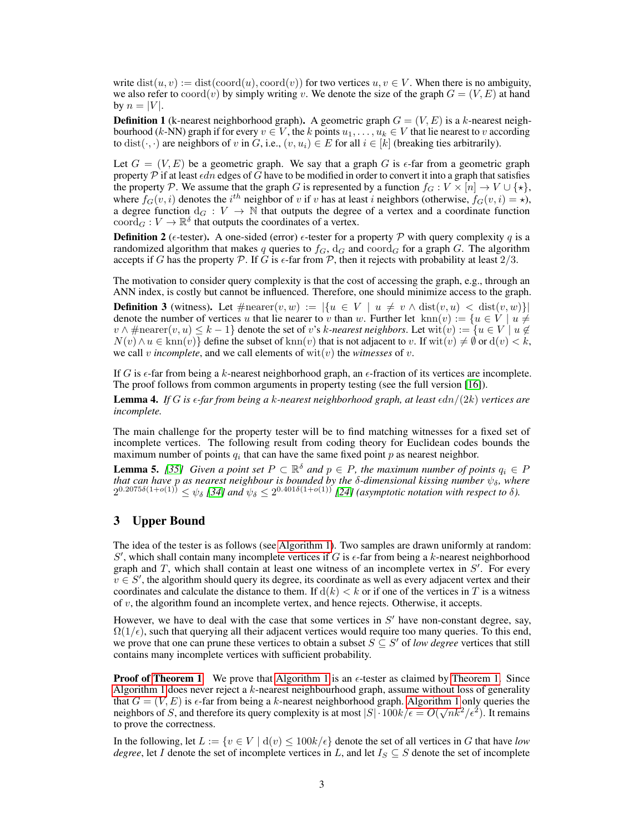write  $dist(u, v) := dist(cord(u), coord(v))$  for two vertices  $u, v \in V$ . When there is no ambiguity, we also refer to coord(v) by simply writing v. We denote the size of the graph  $G = (V, E)$  at hand by  $n = |V|$ .

**Definition 1** (k-nearest neighborhood graph). A geometric graph  $G = (V, E)$  is a k-nearest neighbourhood (k-NN) graph if for every  $v \in V$ , the k points  $u_1, \ldots, u_k \in V$  that lie nearest to v according to dist( $\cdot$ , $\cdot$ ) are neighbors of v in G, i.e.,  $(v, u_i) \in E$  for all  $i \in [k]$  (breaking ties arbitrarily).

Let  $G = (V, E)$  be a geometric graph. We say that a graph G is  $\epsilon$ -far from a geometric graph property P if at least  $\epsilon dn$  edges of G have to be modified in order to convert it into a graph that satisfies the property P. We assume that the graph G is represented by a function  $f_G : V \times [n] \to V \cup \{ \star \},$ where  $f_G(v, i)$  denotes the  $i^{th}$  neighbor of v if v has at least i neighbors (otherwise,  $f_G(v, i) = \star$ ), a degree function  $d_G : V \to \mathbb{N}$  that outputs the degree of a vertex and a coordinate function coord<sub>G</sub> :  $V \to \mathbb{R}^{\delta}$  that outputs the coordinates of a vertex.

**Definition 2** ( $\epsilon$ -tester). A one-sided (error)  $\epsilon$ -tester for a property P with query complexity q is a randomized algorithm that makes q queries to  $f_G$ ,  $d_G$  and  $coord_G$  for a graph G. The algorithm accepts if G has the property P. If G is  $\epsilon$ -far from P, then it rejects with probability at least  $2/3$ .

The motivation to consider query complexity is that the cost of accessing the graph, e.g., through an ANN index, is costly but cannot be influenced. Therefore, one should minimize access to the graph.

**Definition 3** (witness). Let  $\#\text{nearer}(v, w) := |\{u \in V \mid u \neq v \land \text{dist}(v, u) < \text{dist}(v, w)\}|$ denote the number of vertices u that lie nearer to v than w. Further let  $\text{km}(v) := \{u \in V \mid u \neq 0\}$  $v \wedge \# \text{nearer}(v, u) \leq k - 1$  denote the set of v's k-nearest neighbors. Let wit $(v) := \{u \in V \mid u \notin V\}$  $N(v) \wedge u \in \text{knn}(v)$  define the subset of  $\text{knn}(v)$  that is not adjacent to v. If  $\text{wit}(v) \neq \emptyset$  or  $d(v) < k$ , we call *v incomplete*, and we call elements of wit(*v*) the *witnesses* of *v*.

If G is  $\epsilon$ -far from being a k-nearest neighborhood graph, an  $\epsilon$ -fraction of its vertices are incomplete. The proof follows from common arguments in property testing (see the full version [\[16\]](#page-10-10)).

<span id="page-2-0"></span>**Lemma 4.** If G is  $\epsilon$ -far from being a k-nearest neighborhood graph, at least  $\epsilon dn/(2k)$  vertices are *incomplete.*

The main challenge for the property tester will be to find matching witnesses for a fixed set of incomplete vertices. The following result from coding theory for Euclidean codes bounds the maximum number of points  $q_i$  that can have the same fixed point p as nearest neighbor.

<span id="page-2-1"></span>**Lemma 5.** [\[35\]](#page-11-3) Given a point set  $P \subset \mathbb{R}^{\delta}$  and  $p \in P$ , the maximum number of points  $q_i \in P$ *that can have p as nearest neighbour is bounded by the δ-dimensional kissing number*  $ψ<sub>δ</sub>$ *, where*  $2^{0.2075\delta(1+o(1))} \leq \psi_{\delta}$  [\[34\]](#page-11-4) and  $\psi_{\delta} \leq 2^{0.401\delta(1+o(1))}$  [\[24\]](#page-10-11) (asymptotic notation with respect to  $\delta$ ).

# 3 Upper Bound

The idea of the tester is as follows (see [Algorithm 1\)](#page-3-0). Two samples are drawn uniformly at random: S', which shall contain many incomplete vertices if G is  $\epsilon$ -far from being a k-nearest neighborhood graph and  $T$ , which shall contain at least one witness of an incomplete vertex in  $S'$ . For every  $v \in S'$ , the algorithm should query its degree, its coordinate as well as every adjacent vertex and their coordinates and calculate the distance to them. If  $d(k) < k$  or if one of the vertices in T is a witness of v, the algorithm found an incomplete vertex, and hence rejects. Otherwise, it accepts.

However, we have to deal with the case that some vertices in  $S'$  have non-constant degree, say,  $\Omega(1/\epsilon)$ , such that querying all their adjacent vertices would require too many queries. To this end, we prove that one can prune these vertices to obtain a subset  $S \subseteq S'$  of *low degree* vertices that still contains many incomplete vertices with sufficient probability.

**Proof of [Theorem 1](#page-1-0)** We prove that [Algorithm 1](#page-3-0) is an  $\epsilon$ -tester as claimed by [Theorem 1.](#page-1-0) Since [Algorithm 1](#page-3-0) does never reject a k-nearest neighbourhood graph, assume without loss of generality that  $G = (V, E)$  is  $\epsilon$ -far from being a k-nearest neighborhood graph. [Algorithm 1](#page-3-0) only queries the neighbors of S, and therefore its query complexity is at most  $|S| \cdot 100k/\epsilon = O(\sqrt{n}k^2/\epsilon^2)$ . It remains to prove the correctness.

In the following, let  $L := \{v \in V \mid d(v) \leq 100k/\epsilon\}$  denote the set of all vertices in G that have low *degree*, let I denote the set of incomplete vertices in L, and let  $I_S \subseteq S$  denote the set of incomplete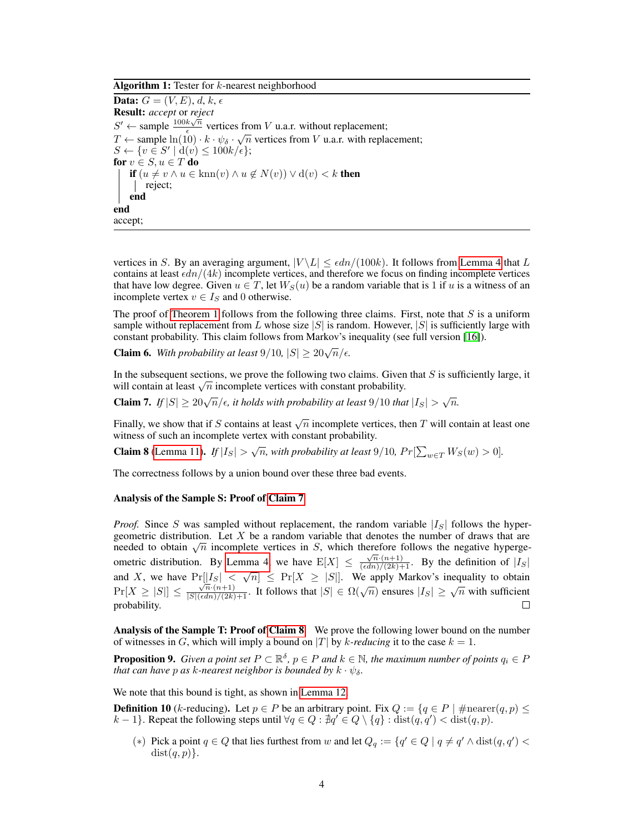Algorithm 1: Tester for  $k$ -nearest neighborhood

**Data:**  $G = (V, E), d, k, \epsilon$ Result: *accept* or *reject*  $S' \leftarrow$  sample  $\frac{100k\sqrt{n}}{6}$  $\frac{k\sqrt{n}}{\epsilon}$  vertices from *V* u.a.r. without replacement;  $T \leftarrow$  sample  $\ln(10) \cdot k \cdot \psi_{\delta} \cdot \sqrt{n}$  vertices from V u.a.r. with replacement;  $S \leftarrow \{v \in S' \mid d(v) \leq 100k/\epsilon\};$ for  $v\in S, u\in T$  do if  $(u \neq v \land u \in \text{km}(v) \land u \notin N(v)) \lor d(v) < k$  then | reject; end end accept;

<span id="page-3-0"></span>vertices in S. By an averaging argument,  $|V \setminus L| \leq \epsilon d n/(100k)$ . It follows from [Lemma 4](#page-2-0) that L contains at least  $\epsilon dn/(4k)$  incomplete vertices, and therefore we focus on finding incomplete vertices that have low degree. Given  $u \in T$ , let  $W_S(u)$  be a random variable that is 1 if u is a witness of an incomplete vertex  $v \in I_S$  and 0 otherwise.

The proof of [Theorem 1](#page-1-0) follows from the following three claims. First, note that  $S$  is a uniform sample without replacement from L whose size  $|S|$  is random. However,  $|S|$  is sufficiently large with constant probability. This claim follows from Markov's inequality (see full version [\[16\]](#page-10-10)).

**Claim 6.** With probability at least  $9/10$ ,  $|S| \geq 20\sqrt{n}/\epsilon$ .

In the subsequent sections, we prove the following two claims. Given that  $S$  is sufficiently large, it In the subsequent sections, we prove the following two claims. Given will contain at least  $\sqrt{n}$  incomplete vertices with constant probability.

<span id="page-3-1"></span>Claim 7. *If*  $|S| \ge 20\sqrt{n}/\epsilon$ , *it holds with probability at least* 9/10 *that*  $|I_S| > \sqrt{n}$ .

Finally, we show that if S contains at least  $\sqrt{n}$  incomplete vertices, then T will contain at least one witness of such an incomplete vertex with constant probability.

<span id="page-3-2"></span>**Claim 8** [\(Lemma 11\)](#page-4-0). *If*  $|I_S| > \sqrt{n}$ , with probability at least 9/10,  $Pr[\sum_{w \in T} W_S(w) > 0]$ .

The correctness follows by a union bound over these three bad events.

#### Analysis of the Sample S: Proof of [Claim 7](#page-3-1)

*Proof.* Since S was sampled without replacement, the random variable  $|I_{S}|$  follows the hypergeometric distribution. Let  $X$  be a random variable that denotes the number of draws that are geometric distribution. Let  $\overline{X}$  be a random variable that denotes the number of draws that are needed to obtain  $\sqrt{n}$  incomplete vertices in  $S$ , which therefore follows the negative hyperge-ometric distribution. By [Lemma 4,](#page-2-0) we have  $E[X] \leq \frac{\sqrt{n}(n+1)}{(\epsilon d n)/(2k)+1}$ . By the definition of  $|I_S|$ and X, we have  $Pr[|I_S| < \sqrt{n}] \leq Pr[X \geq |S|]$ . We apply Markov's inequality to obtain  $Pr[X \geq |S|] \leq \frac{\sqrt{n} \cdot (n+1)}{\sqrt{S!(\epsilon dn)}/(2k)+1}$ . It follows that  $|S| \in \Omega(\sqrt{n})$  ensures  $|I_S| \geq \sqrt{n}$  with sufficient probability.  $\Box$ 

Analysis of the Sample T: Proof of [Claim 8](#page-3-2) We prove the following lower bound on the number of witnesses in G, which will imply a bound on  $|T|$  by k-reducing it to the case  $k = 1$ .

<span id="page-3-3"></span>**Proposition 9.** Given a point set  $P \subset \mathbb{R}^{\delta}$ ,  $p \in P$  and  $k \in \mathbb{N}$ , the maximum number of points  $q_i \in P$ *that can have p as k-nearest neighbor is bounded by*  $k \cdot \psi_{\delta}$ .

We note that this bound is tight, as shown in [Lemma 12.](#page-4-1)

<span id="page-3-4"></span>**Definition 10** (k-reducing). Let  $p \in P$  be an arbitrary point. Fix  $Q := \{q \in P \mid \text{\#nearer}(q, p) \leq \}$  $k-1$ . Repeat the following steps until  $\forall q \in Q : \nexists q' \in Q \setminus \{q\} : \text{dist}(q, q') < \text{dist}(q, p).$ 

(\*) Pick a point  $q \in Q$  that lies furthest from w and let  $Q_q := \{q' \in Q \mid q \neq q' \land \text{dist}(q, q') \leq q' \}$  $dist(q, p)$ .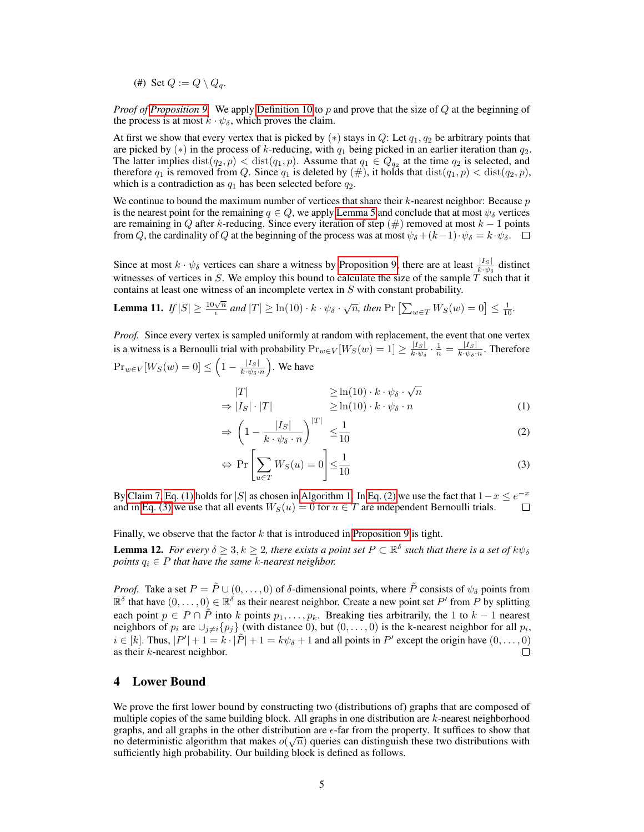(#) Set  $Q := Q \setminus Q_q$ .

*Proof of [Proposition 9.](#page-3-3)* We apply [Definition 10](#page-3-4) to p and prove that the size of Q at the beginning of the process is at most  $k \cdot \psi_{\delta}$ , which proves the claim.

At first we show that every vertex that is picked by  $(*)$  stays in Q: Let  $q_1, q_2$  be arbitrary points that are picked by  $(*)$  in the process of k-reducing, with  $q_1$  being picked in an earlier iteration than  $q_2$ . The latter implies  $dist(q_2, p) < dist(q_1, p)$ . Assume that  $q_1 \in Q_{q_2}$  at the time  $q_2$  is selected, and therefore  $q_1$  is removed from Q. Since  $q_1$  is deleted by  $(\#)$ , it holds that  $dist(q_1, p) < dist(q_2, p)$ , which is a contradiction as  $q_1$  has been selected before  $q_2$ .

We continue to bound the maximum number of vertices that share their  $k$ -nearest neighbor: Because  $p$ is the nearest point for the remaining  $q \in Q$ , we apply [Lemma 5](#page-2-1) and conclude that at most  $\psi_{\delta}$  vertices are remaining in Q after k-reducing. Since every iteration of step  $(\#)$  removed at most  $k - 1$  points from Q, the cardinality of Q at the beginning of the process was at most  $\psi_{\delta} + (k-1) \cdot \psi_{\delta} = k \cdot \psi_{\delta}$ .

Since at most  $k \cdot \psi_{\delta}$  vertices can share a witness by [Proposition 9,](#page-3-3) there are at least  $\frac{|I_S|}{k \cdot \psi_{\delta}}$  distinct witnesses of vertices in S. We employ this bound to calculate the size of the sample  $\tilde{T}$  such that it contains at least one witness of an incomplete vertex in S with constant probability.

<span id="page-4-0"></span>**Lemma 11.** If 
$$
|S| \ge \frac{10\sqrt{n}}{\epsilon}
$$
 and  $|T| \ge \ln(10) \cdot k \cdot \psi_{\delta} \cdot \sqrt{n}$ , then  $\Pr\left[\sum_{w \in T} W_S(w) = 0\right] \le \frac{1}{10}$ .

*Proof.* Since every vertex is sampled uniformly at random with replacement, the event that one vertex is a witness is a Bernoulli trial with probability  $Pr_{w \in V}[W_S(w) = 1] \geq \frac{|I_S|}{k_1 \psi_S}$  $\frac{|I_S|}{k\!\cdot\!\psi_\delta}\cdot\frac{1}{n}=\frac{|I_S|}{k\!\cdot\!\psi_\delta\cdot}$  $\frac{|I_S|}{k \cdot \psi_\delta \cdot n}$ . Therefore

$$
\Pr_{w \in V}[W_S(w) = 0] \le \left(1 - \frac{|I_S|}{k \cdot \psi_{\delta} \cdot n}\right).
$$
 We have

$$
|T| \geq \ln(10) \cdot k \cdot \psi_{\delta} \cdot \sqrt{n}
$$
  
\n
$$
\Rightarrow |I_S| \cdot |T| \geq \ln(10) \cdot k \cdot \psi_{\delta} \cdot n
$$
 (1)

<span id="page-4-3"></span><span id="page-4-2"></span>
$$
\Rightarrow \left(1 - \frac{|I_S|}{k \cdot \psi_\delta \cdot n}\right)^{|T|} \le \frac{1}{10} \tag{2}
$$

<span id="page-4-4"></span>
$$
\Leftrightarrow \Pr\left[\sum_{u \in T} W_S(u) = 0\right] \le \frac{1}{10} \tag{3}
$$

By [Claim 7,](#page-3-1) [Eq. \(1\)](#page-4-2) holds for |S| as chosen in [Algorithm 1.](#page-3-0) In [Eq. \(2\)](#page-4-3) we use the fact that  $1-x \le e^{-x}$ and in [Eq. \(3\)](#page-4-4) we use that all events  $W_S(u) = 0$  for  $u \in T$  are independent Bernoulli trials.  $\Box$ 

Finally, we observe that the factor  $k$  that is introduced in [Proposition 9](#page-3-3) is tight.

<span id="page-4-1"></span>**Lemma 12.** For every  $\delta \geq 3, k \geq 2$ , there exists a point set  $P \subset \mathbb{R}^{\delta}$  such that there is a set of  $k\psi_{\delta}$ *points*  $q_i \in P$  *that have the same k-nearest neighbor.* 

*Proof.* Take a set  $P = \tilde{P} \cup (0, \ldots, 0)$  of  $\delta$ -dimensional points, where  $\tilde{P}$  consists of  $\psi_{\delta}$  points from  $\mathbb{R}^{\delta}$  that have  $(0,\ldots,0) \in \mathbb{R}^{\delta}$  as their nearest neighbor. Create a new point set P' from P by splitting each point  $p \in P \cap \tilde{P}$  into k points  $p_1, \ldots, p_k$ . Breaking ties arbitrarily, the 1 to  $k-1$  nearest neighbors of  $p_i$  are  $\cup_{j\neq i} \{p_j\}$  (with distance 0), but  $(0, \ldots, 0)$  is the k-nearest neighbor for all  $p_i$ ,  $i \in [k]$ . Thus,  $|P'| + 1 = k \cdot |\tilde{P}| + 1 = k\psi_{\delta} + 1$  and all points in  $P'$  except the origin have  $(0, \ldots, 0)$ as their k-nearest neighbor.  $\Box$ 

#### 4 Lower Bound

We prove the first lower bound by constructing two (distributions of) graphs that are composed of multiple copies of the same building block. All graphs in one distribution are  $k$ -nearest neighborhood graphs, and all graphs in the other distribution are  $\epsilon$ -far from the property. It suffices to show that no deterministic algorithm that makes  $o(\sqrt{n})$  queries can distinguish these two distributions with sufficiently high probability. Our building block is defined as follows.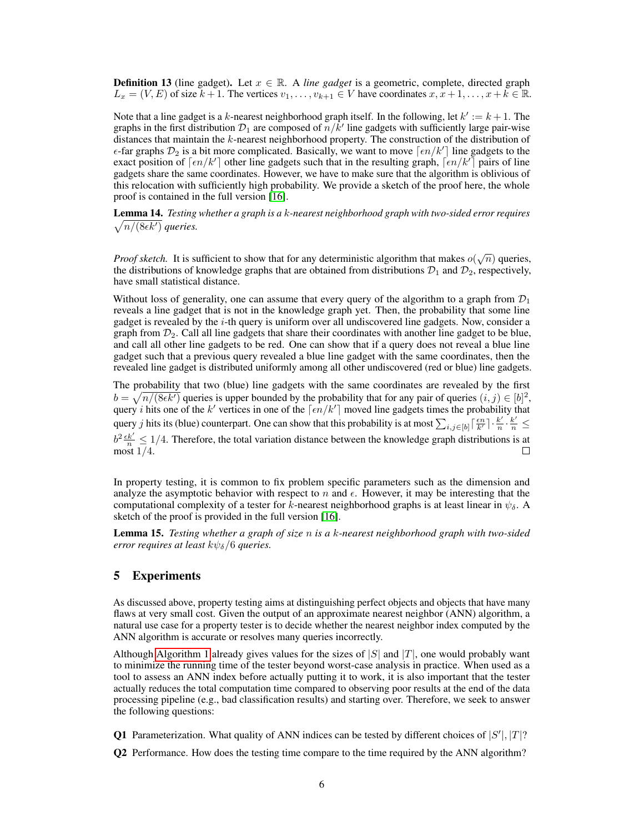**Definition 13** (line gadget). Let  $x \in \mathbb{R}$ . A *line gadget* is a geometric, complete, directed graph  $L_x = (V, E)$  of size  $k + 1$ . The vertices  $v_1, \ldots, v_{k+1} \in V$  have coordinates  $x, x + 1, \ldots, x + k \in \mathbb{R}$ .

Note that a line gadget is a k-nearest neighborhood graph itself. In the following, let  $k' := k + 1$ . The graphs in the first distribution  $\mathcal{D}_1$  are composed of  $n/k'$  line gadgets with sufficiently large pair-wise distances that maintain the k-nearest neighborhood property. The construction of the distribution of  $\epsilon$ -far graphs  $\mathcal{D}_2$  is a bit more complicated. Basically, we want to move  $\lceil \epsilon n/k' \rceil$  line gadgets to the exact position of  $\lceil \epsilon n/k' \rceil$  other line gadgets such that in the resulting graph,  $\lceil \epsilon n/k' \rceil$  pairs of line gadgets share the same coordinates. However, we have to make sure that the algorithm is oblivious of this relocation with sufficiently high probability. We provide a sketch of the proof here, the whole proof is contained in the full version [\[16\]](#page-10-10).

Lemma 14. *Testing whether a graph is a* k*-nearest neighborhood graph with two-sided error requires*  $\sqrt{n/(8\epsilon k')}$  *queries.* 

*Proof sketch.* It is sufficient to show that for any deterministic algorithm that makes  $o(\sqrt{n})$  queries, the distributions of knowledge graphs that are obtained from distributions  $\mathcal{D}_1$  and  $\mathcal{D}_2$ , respectively, have small statistical distance.

Without loss of generality, one can assume that every query of the algorithm to a graph from  $\mathcal{D}_1$ reveals a line gadget that is not in the knowledge graph yet. Then, the probability that some line gadget is revealed by the  $i$ -th query is uniform over all undiscovered line gadgets. Now, consider a graph from  $\mathcal{D}_2$ . Call all line gadgets that share their coordinates with another line gadget to be blue, and call all other line gadgets to be red. One can show that if a query does not reveal a blue line gadget such that a previous query revealed a blue line gadget with the same coordinates, then the revealed line gadget is distributed uniformly among all other undiscovered (red or blue) line gadgets.

The probability that two (blue) line gadgets with the same coordinates are revealed by the first  $b = \sqrt{n/(8\epsilon k')}$  queries is upper bounded by the probability that for any pair of queries  $(i, j) \in [b]^2$ , query *i* hits one of the k' vertices in one of the  $\lceil \epsilon n/k' \rceil$  moved line gadgets times the probability that query j hits its (blue) counterpart. One can show that this probability is at most  $\sum_{i,j\in[b]} \lceil \frac{\epsilon n}{k'} \rceil \cdot \frac{k'}{n}$  $\frac{k'}{n} \cdot \frac{k'}{n} \leq$  $b^2 \frac{\epsilon k'}{n} \leq 1/4$ . Therefore, the total variation distance between the knowledge graph distributions is at most 1/4.

In property testing, it is common to fix problem specific parameters such as the dimension and analyze the asymptotic behavior with respect to n and  $\epsilon$ . However, it may be interesting that the computational complexity of a tester for  $\bar{k}$ -nearest neighborhood graphs is at least linear in  $\psi_{\delta}$ . A sketch of the proof is provided in the full version [\[16\]](#page-10-10).

<span id="page-5-2"></span>Lemma 15. *Testing whether a graph of size* n *is a* k*-nearest neighborhood graph with two-sided error requires at least*  $k\psi_{\delta}/6$  *queries.* 

#### 5 Experiments

As discussed above, property testing aims at distinguishing perfect objects and objects that have many flaws at very small cost. Given the output of an approximate nearest neighbor (ANN) algorithm, a natural use case for a property tester is to decide whether the nearest neighbor index computed by the ANN algorithm is accurate or resolves many queries incorrectly.

Although [Algorithm 1](#page-3-0) already gives values for the sizes of  $|S|$  and  $|T|$ , one would probably want to minimize the running time of the tester beyond worst-case analysis in practice. When used as a tool to assess an ANN index before actually putting it to work, it is also important that the tester actually reduces the total computation time compared to observing poor results at the end of the data processing pipeline (e.g., bad classification results) and starting over. Therefore, we seek to answer the following questions:

<span id="page-5-0"></span>**Q1** Parameterization. What quality of ANN indices can be tested by different choices of  $|S'|, |T|$ ?

<span id="page-5-1"></span>Q2 Performance. How does the testing time compare to the time required by the ANN algorithm?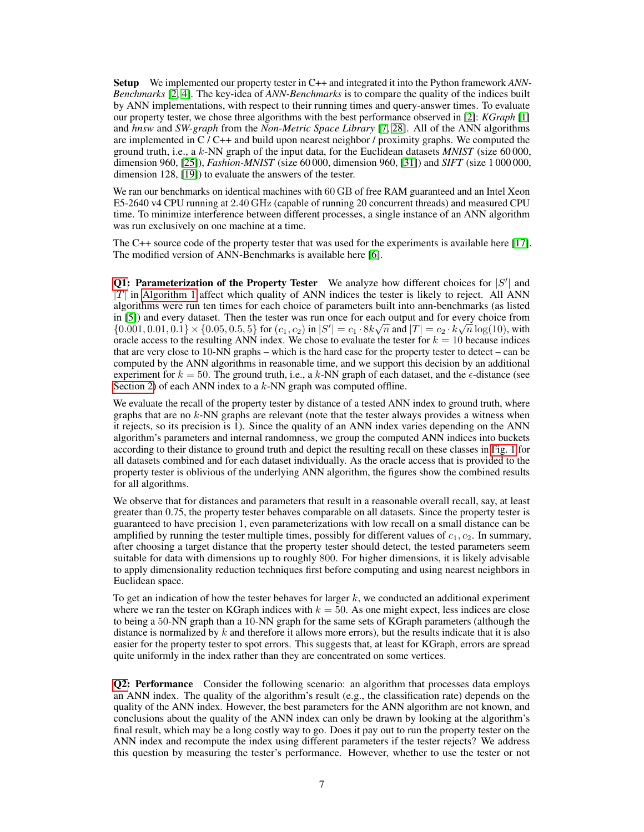Setup We implemented our property tester in C++ and integrated it into the Python framework *ANN-Benchmarks* [\[2,](#page-9-10) [4\]](#page-9-11). The key-idea of *ANN-Benchmarks* is to compare the quality of the indices built by ANN implementations, with respect to their running times and query-answer times. To evaluate our property tester, we chose three algorithms with the best performance observed in [\[2\]](#page-9-10): *KGraph* [\[1\]](#page-9-0) and *hnsw* and *SW-graph* from the *Non-Metric Space Library* [\[7,](#page-9-1) [28\]](#page-10-12). All of the ANN algorithms are implemented in  $C/C++$  and build upon nearest neighbor / proximity graphs. We computed the ground truth, i.e., a  $k$ -NN graph of the input data, for the Euclidean datasets *MNIST* (size 60 000, dimension 960, [\[25\]](#page-10-13)), *Fashion-MNIST* (size 60 000, dimension 960, [\[31\]](#page-10-14)) and *SIFT* (size 1 000 000, dimension 128, [\[19\]](#page-10-15)) to evaluate the answers of the tester.

We ran our benchmarks on identical machines with 60 GB of free RAM guaranteed and an Intel Xeon E5-2640 v4 CPU running at 2.40 GHz (capable of running 20 concurrent threads) and measured CPU time. To minimize interference between different processes, a single instance of an ANN algorithm was run exclusively on one machine at a time.

The C++ source code of the property tester that was used for the experiments is available here [\[17\]](#page-10-16). The modified version of ANN-Benchmarks is available here [\[6\]](#page-9-12).

[Q1:](#page-5-0) Parameterization of the Property Tester We analyze how different choices for  $|S'|$  and  $|T|$  in [Algorithm 1](#page-3-0) affect which quality of ANN indices the tester is likely to reject. All ANN algorithms were run ten times for each choice of parameters built into ann-benchmarks (as listed in [\[5\]](#page-9-13)) and every dataset. Then the tester was run once for each output and for every choice from  $\{0.001, 0.01, 0.1\} \times \{0.05, 0.5, 5\}$  for  $(c_1, c_2)$  in  $|S'| = c_1 \cdot 8k \sqrt{n}$  and  $|T| = c_2 \cdot k \sqrt{n} \log(10)$ , with oracle access to the resulting ANN index. We chose to evaluate the tester for  $k = 10$  because indices that are very close to 10-NN graphs – which is the hard case for the property tester to detect – can be computed by the ANN algorithms in reasonable time, and we support this decision by an additional experiment for  $k = 50$ . The ground truth, i.e., a k-NN graph of each dataset, and the  $\epsilon$ -distance (see [Section 2\)](#page-1-1) of each ANN index to a  $k$ -NN graph was computed offline.

We evaluate the recall of the property tester by distance of a tested ANN index to ground truth, where graphs that are no  $k$ -NN graphs are relevant (note that the tester always provides a witness when it rejects, so its precision is 1). Since the quality of an ANN index varies depending on the ANN algorithm's parameters and internal randomness, we group the computed ANN indices into buckets according to their distance to ground truth and depict the resulting recall on these classes in [Fig. 1](#page-7-0) for all datasets combined and for each dataset individually. As the oracle access that is provided to the property tester is oblivious of the underlying ANN algorithm, the figures show the combined results for all algorithms.

We observe that for distances and parameters that result in a reasonable overall recall, say, at least greater than 0.75, the property tester behaves comparable on all datasets. Since the property tester is guaranteed to have precision 1, even parameterizations with low recall on a small distance can be amplified by running the tester multiple times, possibly for different values of  $c_1, c_2$ . In summary, after choosing a target distance that the property tester should detect, the tested parameters seem suitable for data with dimensions up to roughly 800. For higher dimensions, it is likely advisable to apply dimensionality reduction techniques first before computing and using nearest neighbors in Euclidean space.

To get an indication of how the tester behaves for larger  $k$ , we conducted an additional experiment where we ran the tester on KGraph indices with  $k = 50$ . As one might expect, less indices are close to being a 50-NN graph than a 10-NN graph for the same sets of KGraph parameters (although the distance is normalized by  $k$  and therefore it allows more errors), but the results indicate that it is also easier for the property tester to spot errors. This suggests that, at least for KGraph, errors are spread quite uniformly in the index rather than they are concentrated on some vertices.

[Q2:](#page-5-1) Performance Consider the following scenario: an algorithm that processes data employs an ANN index. The quality of the algorithm's result (e.g., the classification rate) depends on the quality of the ANN index. However, the best parameters for the ANN algorithm are not known, and conclusions about the quality of the ANN index can only be drawn by looking at the algorithm's final result, which may be a long costly way to go. Does it pay out to run the property tester on the ANN index and recompute the index using different parameters if the tester rejects? We address this question by measuring the tester's performance. However, whether to use the tester or not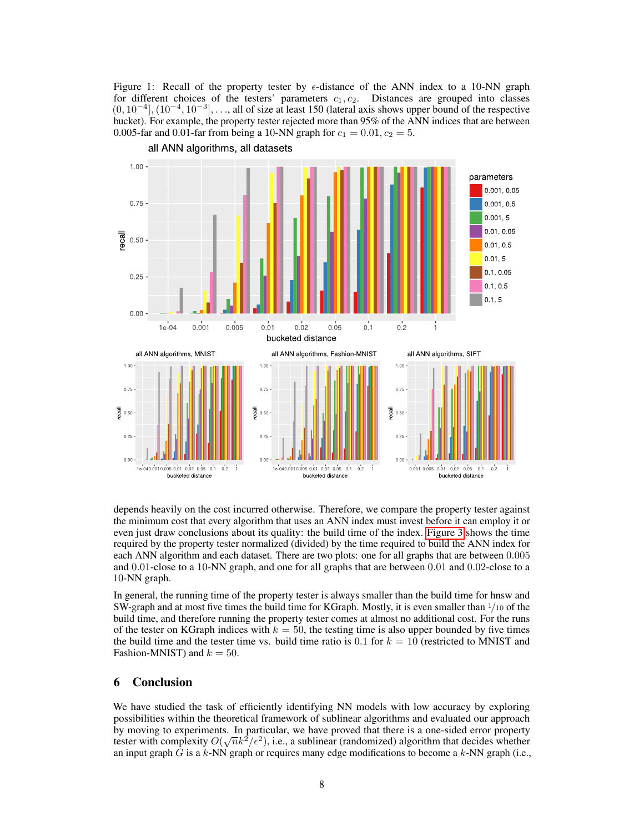<span id="page-7-0"></span>Figure 1: Recall of the property tester by  $\epsilon$ -distance of the ANN index to a 10-NN graph for different choices of the testers' parameters  $c_1, c_2$ . Distances are grouped into classes  $(0, 10^{-4}]$ ,  $(10^{-4}, 10^{-3}]$ , ..., all of size at least 150 (lateral axis shows upper bound of the respective bucket). For example, the property tester rejected more than 95% of the ANN indices that are between 0.005-far and 0.01-far from being a 10-NN graph for  $c_1 = 0.01, c_2 = 5$ .



all ANN algorithms, all datasets

depends heavily on the cost incurred otherwise. Therefore, we compare the property tester against the minimum cost that every algorithm that uses an ANN index must invest before it can employ it or even just draw conclusions about its quality: the build time of the index. [Figure 3](#page-8-0) shows the time required by the property tester normalized (divided) by the time required to build the ANN index for each ANN algorithm and each dataset. There are two plots: one for all graphs that are between 0.005 and 0.01-close to a 10-NN graph, and one for all graphs that are between 0.01 and 0.02-close to a 10-NN graph.

In general, the running time of the property tester is always smaller than the build time for hnsw and SW-graph and at most five times the build time for KGraph. Mostly, it is even smaller than  $1/10$  of the build time, and therefore running the property tester comes at almost no additional cost. For the runs of the tester on KGraph indices with  $k = 50$ , the testing time is also upper bounded by five times the build time and the tester time vs. build time ratio is 0.1 for  $k = 10$  (restricted to MNIST and Fashion-MNIST) and  $k = 50$ .

## 6 Conclusion

We have studied the task of efficiently identifying NN models with low accuracy by exploring possibilities within the theoretical framework of sublinear algorithms and evaluated our approach by moving to experiments. In particular, we have proved that there is a one-sided error property tester with complexity  $O(\sqrt{n}k^2/\epsilon^2)$ , i.e., a sublinear (randomized) algorithm that decides whether an input graph G is a  $k$ -NN graph or requires many edge modifications to become a  $k$ -NN graph (i.e.,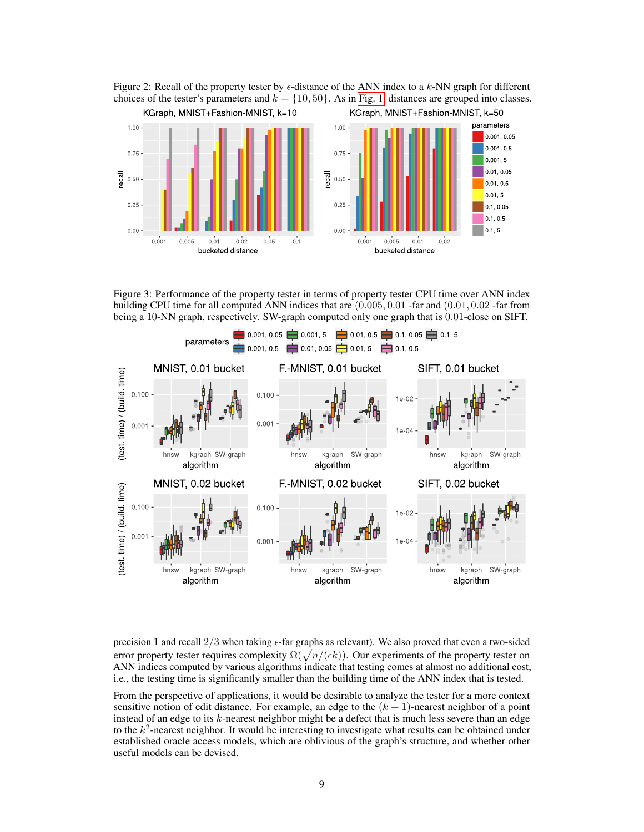Figure 2: Recall of the property tester by  $\epsilon$ -distance of the ANN index to a k-NN graph for different choices of the tester's parameters and  $k = \{10, 50\}$ . As in [Fig. 1,](#page-7-0) distances are grouped into classes.



<span id="page-8-0"></span>Figure 3: Performance of the property tester in terms of property tester CPU time over ANN index building CPU time for all computed ANN indices that are (0.005, 0.01]-far and (0.01, 0.02]-far from being a 10-NN graph, respectively. SW-graph computed only one graph that is 0.01-close on SIFT.



precision 1 and recall  $2/3$  when taking  $\epsilon$ -far graphs as relevant). We also proved that even a two-sided error property tester requires complexity  $\Omega(\sqrt{n/(\epsilon k)})$ . Our experiments of the property tester on ANN indices computed by various algorithms indicate that testing comes at almost no additional cost, i.e., the testing time is significantly smaller than the building time of the ANN index that is tested.

From the perspective of applications, it would be desirable to analyze the tester for a more context sensitive notion of edit distance. For example, an edge to the  $(k + 1)$ -nearest neighbor of a point instead of an edge to its k-nearest neighbor might be a defect that is much less severe than an edge to the  $k^2$ -nearest neighbor. It would be interesting to investigate what results can be obtained under established oracle access models, which are oblivious of the graph's structure, and whether other useful models can be devised.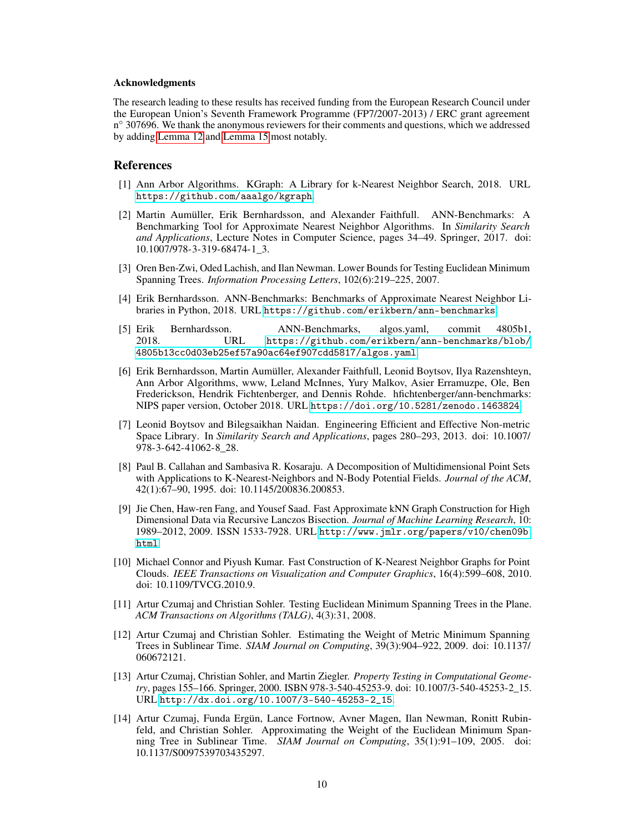#### Acknowledgments

The research leading to these results has received funding from the European Research Council under the European Union's Seventh Framework Programme (FP7/2007-2013) / ERC grant agreement n<sup>o</sup> 307696. We thank the anonymous reviewers for their comments and questions, which we addressed by adding [Lemma 12](#page-4-1) and [Lemma 15](#page-5-2) most notably.

#### References

- <span id="page-9-0"></span>[1] Ann Arbor Algorithms. KGraph: A Library for k-Nearest Neighbor Search, 2018. URL <https://github.com/aaalgo/kgraph>.
- <span id="page-9-10"></span>[2] Martin Aumüller, Erik Bernhardsson, and Alexander Faithfull. ANN-Benchmarks: A Benchmarking Tool for Approximate Nearest Neighbor Algorithms. In *Similarity Search and Applications*, Lecture Notes in Computer Science, pages 34–49. Springer, 2017. doi: 10.1007/978-3-319-68474-1\_3.
- <span id="page-9-5"></span>[3] Oren Ben-Zwi, Oded Lachish, and Ilan Newman. Lower Bounds for Testing Euclidean Minimum Spanning Trees. *Information Processing Letters*, 102(6):219–225, 2007.
- <span id="page-9-11"></span>[4] Erik Bernhardsson. ANN-Benchmarks: Benchmarks of Approximate Nearest Neighbor Libraries in Python, 2018. URL <https://github.com/erikbern/ann-benchmarks>.
- <span id="page-9-13"></span>[5] Erik Bernhardsson. ANN-Benchmarks, algos.yaml, commit 4805b1, 2018. URL [https://github.com/erikbern/ann-benchmarks/blob/](https://github.com/erikbern/ann-benchmarks/blob/4805b13cc0d03eb25ef57a90ac64ef907cdd5817/algos.yaml) [4805b13cc0d03eb25ef57a90ac64ef907cdd5817/algos.yaml](https://github.com/erikbern/ann-benchmarks/blob/4805b13cc0d03eb25ef57a90ac64ef907cdd5817/algos.yaml).
- <span id="page-9-12"></span>[6] Erik Bernhardsson, Martin Aumüller, Alexander Faithfull, Leonid Boytsov, Ilya Razenshteyn, Ann Arbor Algorithms, www, Leland McInnes, Yury Malkov, Asier Erramuzpe, Ole, Ben Frederickson, Hendrik Fichtenberger, and Dennis Rohde. hfichtenberger/ann-benchmarks: NIPS paper version, October 2018. URL <https://doi.org/10.5281/zenodo.1463824>.
- <span id="page-9-1"></span>[7] Leonid Boytsov and Bilegsaikhan Naidan. Engineering Efficient and Effective Non-metric Space Library. In *Similarity Search and Applications*, pages 280–293, 2013. doi: 10.1007/ 978-3-642-41062-8\_28.
- <span id="page-9-3"></span>[8] Paul B. Callahan and Sambasiva R. Kosaraju. A Decomposition of Multidimensional Point Sets with Applications to K-Nearest-Neighbors and N-Body Potential Fields. *Journal of the ACM*, 42(1):67–90, 1995. doi: 10.1145/200836.200853.
- <span id="page-9-4"></span>[9] Jie Chen, Haw-ren Fang, and Yousef Saad. Fast Approximate kNN Graph Construction for High Dimensional Data via Recursive Lanczos Bisection. *Journal of Machine Learning Research*, 10: 1989–2012, 2009. ISSN 1533-7928. URL [http://www.jmlr.org/papers/v10/chen09b.](http://www.jmlr.org/papers/v10/chen09b.html) [html](http://www.jmlr.org/papers/v10/chen09b.html).
- <span id="page-9-2"></span>[10] Michael Connor and Piyush Kumar. Fast Construction of K-Nearest Neighbor Graphs for Point Clouds. *IEEE Transactions on Visualization and Computer Graphics*, 16(4):599–608, 2010. doi: 10.1109/TVCG.2010.9.
- <span id="page-9-6"></span>[11] Artur Czumaj and Christian Sohler. Testing Euclidean Minimum Spanning Trees in the Plane. *ACM Transactions on Algorithms (TALG)*, 4(3):31, 2008.
- <span id="page-9-8"></span>[12] Artur Czumaj and Christian Sohler. Estimating the Weight of Metric Minimum Spanning Trees in Sublinear Time. *SIAM Journal on Computing*, 39(3):904–922, 2009. doi: 10.1137/ 060672121.
- <span id="page-9-9"></span>[13] Artur Czumaj, Christian Sohler, and Martin Ziegler. *Property Testing in Computational Geometry*, pages 155–166. Springer, 2000. ISBN 978-3-540-45253-9. doi: 10.1007/3-540-45253-2\_15. URL [http://dx.doi.org/10.1007/3-540-45253-2\\_15](http://dx.doi.org/10.1007/3-540-45253-2_15).
- <span id="page-9-7"></span>[14] Artur Czumaj, Funda Ergün, Lance Fortnow, Avner Magen, Ilan Newman, Ronitt Rubinfeld, and Christian Sohler. Approximating the Weight of the Euclidean Minimum Spanning Tree in Sublinear Time. *SIAM Journal on Computing*, 35(1):91–109, 2005. doi: 10.1137/S0097539703435297.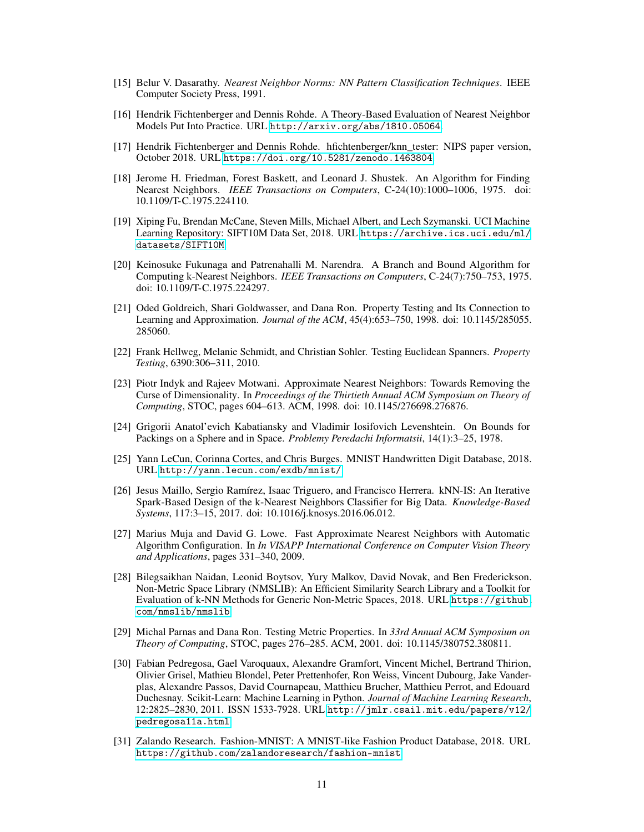- <span id="page-10-7"></span>[15] Belur V. Dasarathy. *Nearest Neighbor Norms: NN Pattern Classification Techniques*. IEEE Computer Society Press, 1991.
- <span id="page-10-10"></span>[16] Hendrik Fichtenberger and Dennis Rohde. A Theory-Based Evaluation of Nearest Neighbor Models Put Into Practice. URL <http://arxiv.org/abs/1810.05064>.
- <span id="page-10-16"></span>[17] Hendrik Fichtenberger and Dennis Rohde. hfichtenberger/knn\_tester: NIPS paper version, October 2018. URL <https://doi.org/10.5281/zenodo.1463804>.
- <span id="page-10-0"></span>[18] Jerome H. Friedman, Forest Baskett, and Leonard J. Shustek. An Algorithm for Finding Nearest Neighbors. *IEEE Transactions on Computers*, C-24(10):1000–1006, 1975. doi: 10.1109/T-C.1975.224110.
- <span id="page-10-15"></span>[19] Xiping Fu, Brendan McCane, Steven Mills, Michael Albert, and Lech Szymanski. UCI Machine Learning Repository: SIFT10M Data Set, 2018. URL [https://archive.ics.uci.edu/ml/](https://archive.ics.uci.edu/ml/datasets/SIFT10M) [datasets/SIFT10M](https://archive.ics.uci.edu/ml/datasets/SIFT10M).
- <span id="page-10-1"></span>[20] Keinosuke Fukunaga and Patrenahalli M. Narendra. A Branch and Bound Algorithm for Computing k-Nearest Neighbors. *IEEE Transactions on Computers*, C-24(7):750–753, 1975. doi: 10.1109/T-C.1975.224297.
- <span id="page-10-6"></span>[21] Oded Goldreich, Shari Goldwasser, and Dana Ron. Property Testing and Its Connection to Learning and Approximation. *Journal of the ACM*, 45(4):653–750, 1998. doi: 10.1145/285055. 285060.
- <span id="page-10-8"></span>[22] Frank Hellweg, Melanie Schmidt, and Christian Sohler. Testing Euclidean Spanners. *Property Testing*, 6390:306–311, 2010.
- <span id="page-10-2"></span>[23] Piotr Indyk and Rajeev Motwani. Approximate Nearest Neighbors: Towards Removing the Curse of Dimensionality. In *Proceedings of the Thirtieth Annual ACM Symposium on Theory of Computing*, STOC, pages 604–613. ACM, 1998. doi: 10.1145/276698.276876.
- <span id="page-10-11"></span>[24] Grigorii Anatol'evich Kabatiansky and Vladimir Iosifovich Levenshtein. On Bounds for Packings on a Sphere and in Space. *Problemy Peredachi Informatsii*, 14(1):3–25, 1978.
- <span id="page-10-13"></span>[25] Yann LeCun, Corinna Cortes, and Chris Burges. MNIST Handwritten Digit Database, 2018. URL <http://yann.lecun.com/exdb/mnist/>.
- <span id="page-10-3"></span>[26] Jesus Maillo, Sergio Ramírez, Isaac Triguero, and Francisco Herrera. kNN-IS: An Iterative Spark-Based Design of the k-Nearest Neighbors Classifier for Big Data. *Knowledge-Based Systems*, 117:3–15, 2017. doi: 10.1016/j.knosys.2016.06.012.
- <span id="page-10-4"></span>[27] Marius Muja and David G. Lowe. Fast Approximate Nearest Neighbors with Automatic Algorithm Configuration. In *In VISAPP International Conference on Computer Vision Theory and Applications*, pages 331–340, 2009.
- <span id="page-10-12"></span>[28] Bilegsaikhan Naidan, Leonid Boytsov, Yury Malkov, David Novak, and Ben Frederickson. Non-Metric Space Library (NMSLIB): An Efficient Similarity Search Library and a Toolkit for Evaluation of k-NN Methods for Generic Non-Metric Spaces, 2018. URL [https://github.](https://github.com/nmslib/nmslib) [com/nmslib/nmslib](https://github.com/nmslib/nmslib).
- <span id="page-10-9"></span>[29] Michal Parnas and Dana Ron. Testing Metric Properties. In *33rd Annual ACM Symposium on Theory of Computing*, STOC, pages 276–285. ACM, 2001. doi: 10.1145/380752.380811.
- <span id="page-10-5"></span>[30] Fabian Pedregosa, Gael Varoquaux, Alexandre Gramfort, Vincent Michel, Bertrand Thirion, Olivier Grisel, Mathieu Blondel, Peter Prettenhofer, Ron Weiss, Vincent Dubourg, Jake Vanderplas, Alexandre Passos, David Cournapeau, Matthieu Brucher, Matthieu Perrot, and Edouard Duchesnay. Scikit-Learn: Machine Learning in Python. *Journal of Machine Learning Research*, 12:2825–2830, 2011. ISSN 1533-7928. URL [http://jmlr.csail.mit.edu/papers/v12/](http://jmlr.csail.mit.edu/papers/v12/pedregosa11a.html) [pedregosa11a.html](http://jmlr.csail.mit.edu/papers/v12/pedregosa11a.html).
- <span id="page-10-14"></span>[31] Zalando Research. Fashion-MNIST: A MNIST-like Fashion Product Database, 2018. URL <https://github.com/zalandoresearch/fashion-mnist>.